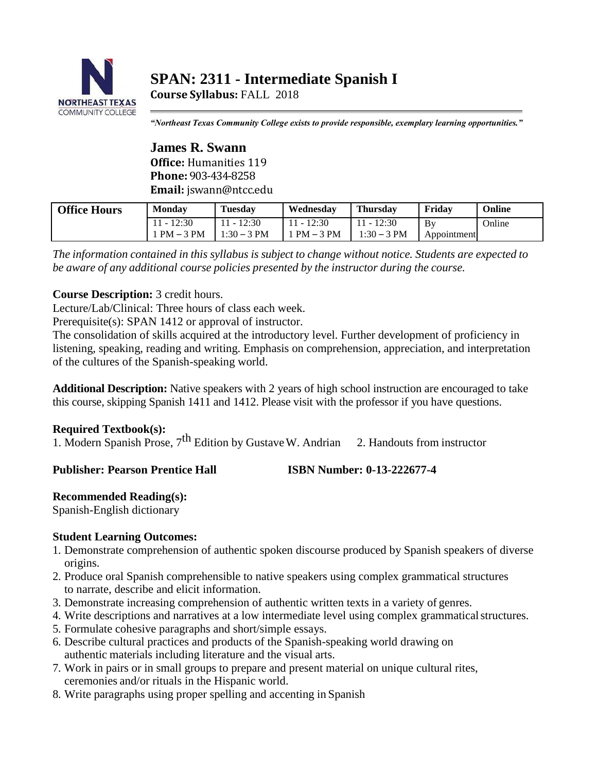

# **SPAN: 2311 - Intermediate Spanish I**

**Course Syllabus:** FALL 2018

*"Northeast Texas Community College exists to provide responsible, exemplary learning opportunities."*

**James R. Swann Office:** Humanities 119 **Phone:** 903-434-8258 **Email:** [jswann@ntcc.edu](mailto:jswann@ntcc.edu)

| <b>Office Hours</b> | Mondav      | <b>Tuesday</b> | Wednesdav    | <b>Thursday</b> | Fridav      | Online |
|---------------------|-------------|----------------|--------------|-----------------|-------------|--------|
|                     | 11 - 12:30  | 11 - 12:30     | $11 - 12:30$ | $11 - 12:30$    | Bv          | Online |
|                     | $PM - 3 PM$ | $1:30 - 3$ PM  | $PM - 3 PM$  | $1:30 - 3$ PM   | Appointment |        |

*The information contained in this syllabus is subject to change without notice. Students are expected to be aware of any additional course policies presented by the instructor during the course.*

# **Course Description:** 3 credit hours.

Lecture/Lab/Clinical: Three hours of class each week.

Prerequisite(s): SPAN 1412 or approval of instructor.

The consolidation of skills acquired at the introductory level. Further development of proficiency in listening, speaking, reading and writing. Emphasis on comprehension, appreciation, and interpretation of the cultures of the Spanish-speaking world.

**Additional Description:** Native speakers with 2 years of high school instruction are encouraged to take this course, skipping Spanish 1411 and 1412. Please visit with the professor if you have questions.

# **Required Textbook(s):**

1. Modern Spanish Prose,  $7<sup>th</sup>$  Edition by Gustave W. Andrian 2. Handouts from instructor

## **Publisher: Pearson Prentice Hall ISBN Number: 0-13-222677-4**

## **Recommended Reading(s):**

Spanish-English dictionary

# **Student Learning Outcomes:**

- 1. Demonstrate comprehension of authentic spoken discourse produced by Spanish speakers of diverse origins.
- 2. Produce oral Spanish comprehensible to native speakers using complex grammatical structures to narrate, describe and elicit information.
- 3. Demonstrate increasing comprehension of authentic written texts in a variety of genres.
- 4. Write descriptions and narratives at a low intermediate level using complex grammatical structures.
- 5. Formulate cohesive paragraphs and short/simple essays.
- 6. Describe cultural practices and products of the Spanish-speaking world drawing on authentic materials including literature and the visual arts.
- 7. Work in pairs or in small groups to prepare and present material on unique cultural rites, ceremonies and/or rituals in the Hispanic world.
- 8. Write paragraphs using proper spelling and accenting in Spanish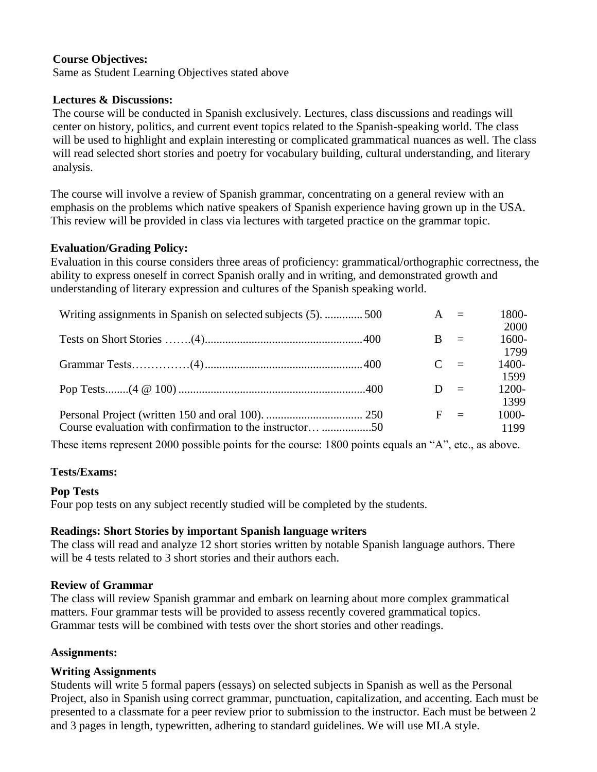# **Course Objectives:**

Same as Student Learning Objectives stated above

## **Lectures & Discussions:**

The course will be conducted in Spanish exclusively. Lectures, class discussions and readings will center on history, politics, and current event topics related to the Spanish-speaking world. The class will be used to highlight and explain interesting or complicated grammatical nuances as well. The class will read selected short stories and poetry for vocabulary building, cultural understanding, and literary analysis.

The course will involve a review of Spanish grammar, concentrating on a general review with an emphasis on the problems which native speakers of Spanish experience having grown up in the USA. This review will be provided in class via lectures with targeted practice on the grammar topic.

## **Evaluation/Grading Policy:**

Evaluation in this course considers three areas of proficiency: grammatical/orthographic correctness, the ability to express oneself in correct Spanish orally and in writing, and demonstrated growth and understanding of literary expression and cultures of the Spanish speaking world.

| Writing assignments in Spanish on selected subjects (5). 500 | $A =$ |          | 1800-                    |
|--------------------------------------------------------------|-------|----------|--------------------------|
|                                                              | B.    | $\equiv$ | 2000<br>1600-<br>1799    |
|                                                              | $C =$ |          | 1400-<br>1599            |
|                                                              | $D =$ |          | 1200-                    |
| Course evaluation with confirmation to the instructor 50     | $F =$ |          | 1399<br>$1000 -$<br>1199 |

These items represent 2000 possible points for the course: 1800 points equals an "A", etc., as above.

## **Tests/Exams:**

#### **Pop Tests**

Four pop tests on any subject recently studied will be completed by the students.

## **Readings: Short Stories by important Spanish language writers**

The class will read and analyze 12 short stories written by notable Spanish language authors. There will be 4 tests related to 3 short stories and their authors each.

#### **Review of Grammar**

The class will review Spanish grammar and embark on learning about more complex grammatical matters. Four grammar tests will be provided to assess recently covered grammatical topics. Grammar tests will be combined with tests over the short stories and other readings.

## **Assignments:**

## **Writing Assignments**

Students will write 5 formal papers (essays) on selected subjects in Spanish as well as the Personal Project, also in Spanish using correct grammar, punctuation, capitalization, and accenting. Each must be presented to a classmate for a peer review prior to submission to the instructor. Each must be between 2 and 3 pages in length, typewritten, adhering to standard guidelines. We will use MLA style.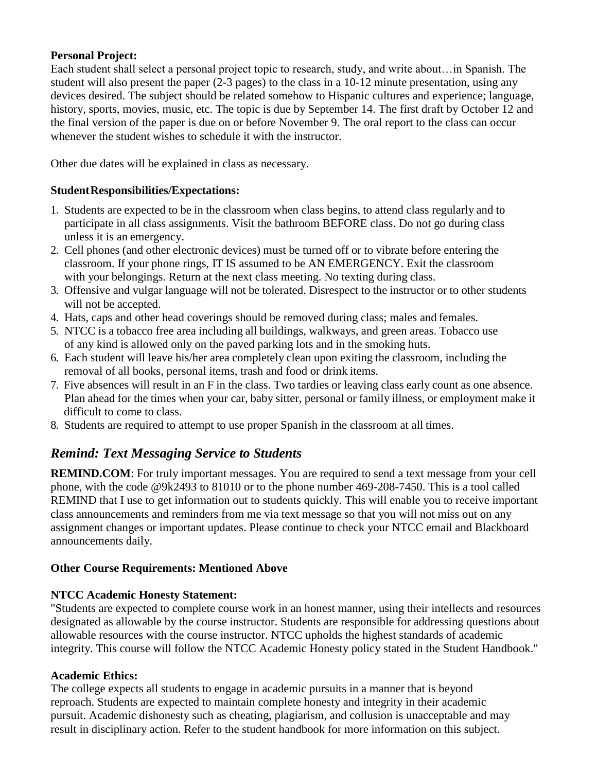# **Personal Project:**

Each student shall select a personal project topic to research, study, and write about…in Spanish. The student will also present the paper (2-3 pages) to the class in a 10-12 minute presentation, using any devices desired. The subject should be related somehow to Hispanic cultures and experience; language, history, sports, movies, music, etc. The topic is due by September 14. The first draft by October 12 and the final version of the paper is due on or before November 9. The oral report to the class can occur whenever the student wishes to schedule it with the instructor.

Other due dates will be explained in class as necessary.

# **StudentResponsibilities/Expectations:**

- 1. Students are expected to be in the classroom when class begins, to attend class regularly and to participate in all class assignments. Visit the bathroom BEFORE class. Do not go during class unless it is an emergency.
- 2. Cell phones (and other electronic devices) must be turned off or to vibrate before entering the classroom. If your phone rings, IT IS assumed to be AN EMERGENCY. Exit the classroom with your belongings. Return at the next class meeting. No texting during class.
- 3. Offensive and vulgar language will not be tolerated. Disrespect to the instructor or to other students will not be accepted.
- 4. Hats, caps and other head coverings should be removed during class; males and females.
- 5. NTCC is a tobacco free area including all buildings, walkways, and green areas. Tobacco use of any kind is allowed only on the paved parking lots and in the smoking huts.
- 6. Each student will leave his/her area completely clean upon exiting the classroom, including the removal of all books, personal items, trash and food or drink items.
- 7. Five absences will result in an F in the class. Two tardies or leaving class early count as one absence. Plan ahead for the times when your car, baby sitter, personal or family illness, or employment make it difficult to come to class.
- 8. Students are required to attempt to use proper Spanish in the classroom at all times.

# *Remind: Text Messaging Service to Students*

**REMIND.COM:** For truly important messages. You are required to send a text message from your cell phone, with the code @9k2493 to 81010 or to the phone number 469-208-7450. This is a tool called REMIND that I use to get information out to students quickly. This will enable you to receive important class announcements and reminders from me via text message so that you will not miss out on any assignment changes or important updates. Please continue to check your NTCC email and Blackboard announcements daily.

# **Other Course Requirements: Mentioned Above**

# **NTCC Academic Honesty Statement:**

"Students are expected to complete course work in an honest manner, using their intellects and resources designated as allowable by the course instructor. Students are responsible for addressing questions about allowable resources with the course instructor. NTCC upholds the highest standards of academic integrity. This course will follow the NTCC Academic Honesty policy stated in the Student Handbook."

## **Academic Ethics:**

The college expects all students to engage in academic pursuits in a manner that is beyond reproach. Students are expected to maintain complete honesty and integrity in their academic pursuit. Academic dishonesty such as cheating, plagiarism, and collusion is unacceptable and may result in disciplinary action. Refer to the student handbook for more information on this subject.